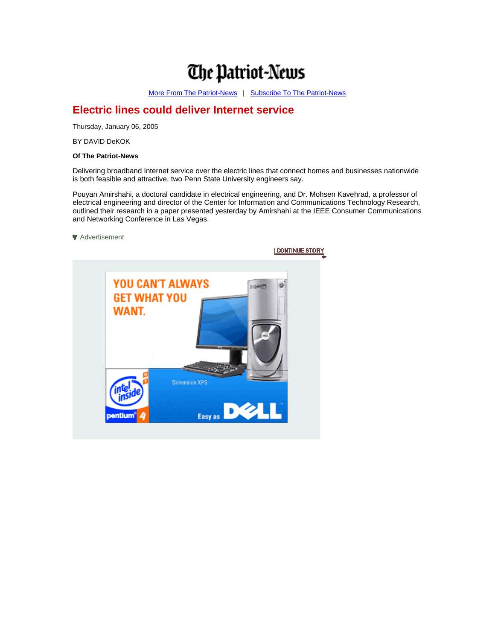## **The Patriot-News**

[More From The Patriot-News](http://www.pennlive.com/patriotnews/) | Subscribe To The Patriot-News

## **Electric lines could deliver Internet service**

Thursday, January 06, 2005

BY DAVID DeKOK

## **Of The Patriot-News**

Delivering broadband Internet service over the electric lines that connect homes and businesses nationwide is both feasible and attractive, two Penn State University engineers say.

Pouyan Amirshahi, a doctoral candidate in electrical engineering, and Dr. Mohsen Kavehrad, a professor of electrical engineering and director of the Center for Information and Communications Technology Research, outlined their research in a paper presented yesterday by Amirshahi at the IEEE Consumer Communications and Networking Conference in Las Vegas.

**[Advertisement](http://ads1.advance.net/RealMedia/ads/click_lx.ads/www.pennlive.com/xml/story/b/biz/139475948/StoryAd/PENNLIVE/DELL01PN04/DELL_300X250_PNdlvy.html/38326362633738663431653433393730?139475948)**